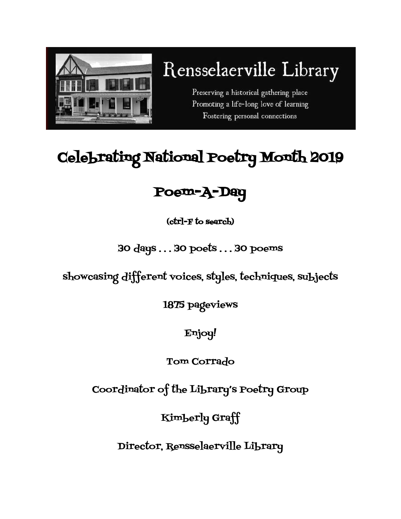

# Rensselaerville Library

Preserving a historical gathering place Promoting a life-long love of learning Fostering personal connections

## Celebrating National Poetry Month 2019

### Poem-A-Day

(ctrl-F to search)

### 30 days . . . 30 poets . . . 30 poems

showcasing different voices, styles, techniques, subjects

1875 pageviews

Enjoy!

Tom Corrado

Coordinator of the Library's Poetry Group

Kimberly Graff

Director, Rensselaerville Library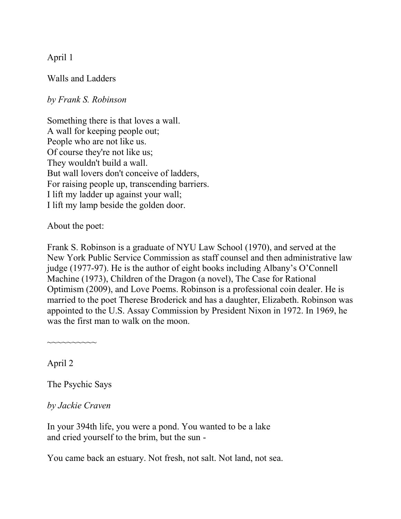April 1

Walls and Ladders

*by Frank S. Robinson*

Something there is that loves a wall. A wall for keeping people out; People who are not like us. Of course they're not like us; They wouldn't build a wall. But wall lovers don't conceive of ladders, For raising people up, transcending barriers. I lift my ladder up against your wall; I lift my lamp beside the golden door.

About the poet:

Frank S. Robinson is a graduate of NYU Law School (1970), and served at the New York Public Service Commission as staff counsel and then administrative law judge (1977-97). He is the author of eight books including Albany's O'Connell Machine (1973), Children of the Dragon (a novel), The Case for Rational Optimism (2009), and Love Poems. Robinson is a professional coin dealer. He is married to the poet Therese Broderick and has a daughter, Elizabeth. Robinson was appointed to the U.S. Assay Commission by President Nixon in 1972. In 1969, he was the first man to walk on the moon.

April 2

The Psychic Says

~~~~~~~~~~

*by Jackie Craven*

In your 394th life, you were a pond. You wanted to be a lake and cried yourself to the brim, but the sun -

You came back an estuary. Not fresh, not salt. Not land, not sea.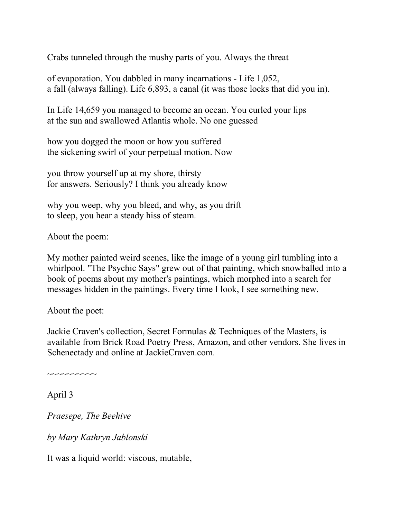Crabs tunneled through the mushy parts of you. Always the threat

of evaporation. You dabbled in many incarnations - Life 1,052, a fall (always falling). Life 6,893, a canal (it was those locks that did you in).

In Life 14,659 you managed to become an ocean. You curled your lips at the sun and swallowed Atlantis whole. No one guessed

how you dogged the moon or how you suffered the sickening swirl of your perpetual motion. Now

you throw yourself up at my shore, thirsty for answers. Seriously? I think you already know

why you weep, why you bleed, and why, as you drift to sleep, you hear a steady hiss of steam.

About the poem:

My mother painted weird scenes, like the image of a young girl tumbling into a whirlpool. "The Psychic Says" grew out of that painting, which snowballed into a book of poems about my mother's paintings, which morphed into a search for messages hidden in the paintings. Every time I look, I see something new.

About the poet:

 $\sim$  $\sim$  $\sim$  $\sim$  $\sim$  $\sim$  $\sim$ 

Jackie Craven's collection, Secret Formulas & Techniques of the Masters, is available from Brick Road Poetry Press, Amazon, and other vendors. She lives in Schenectady and online at JackieCraven.com.

April 3

*Praesepe, The Beehive*

*by Mary Kathryn Jablonski*

It was a liquid world: viscous, mutable,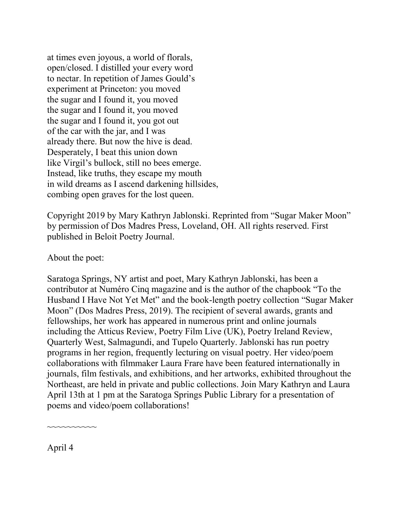at times even joyous, a world of florals, open/closed. I distilled your every word to nectar. In repetition of James Gould's experiment at Princeton: you moved the sugar and I found it, you moved the sugar and I found it, you moved the sugar and I found it, you got out of the car with the jar, and I was already there. But now the hive is dead. Desperately, I beat this union down like Virgil's bullock, still no bees emerge. Instead, like truths, they escape my mouth in wild dreams as I ascend darkening hillsides, combing open graves for the lost queen.

Copyright 2019 by Mary Kathryn Jablonski. Reprinted from "Sugar Maker Moon" by permission of Dos Madres Press, Loveland, OH. All rights reserved. First published in Beloit Poetry Journal.

About the poet:

Saratoga Springs, NY artist and poet, Mary Kathryn Jablonski, has been a contributor at Numéro Cinq magazine and is the author of the chapbook "To the Husband I Have Not Yet Met" and the book-length poetry collection "Sugar Maker Moon" (Dos Madres Press, 2019). The recipient of several awards, grants and fellowships, her work has appeared in numerous print and online journals including the Atticus Review, Poetry Film Live (UK), Poetry Ireland Review, Quarterly West, Salmagundi, and Tupelo Quarterly. Jablonski has run poetry programs in her region, frequently lecturing on visual poetry. Her video/poem collaborations with filmmaker Laura Frare have been featured internationally in journals, film festivals, and exhibitions, and her artworks, exhibited throughout the Northeast, are held in private and public collections. Join Mary Kathryn and Laura April 13th at 1 pm at the Saratoga Springs Public Library for a presentation of poems and video/poem collaborations!

~~~~~~~~~~

April 4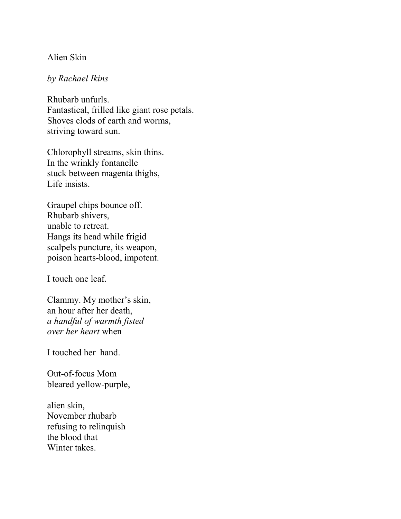#### Alien Skin

#### *by Rachael Ikins*

Rhubarb unfurls. Fantastical, frilled like giant rose petals. Shoves clods of earth and worms, striving toward sun.

Chlorophyll streams, skin thins. In the wrinkly fontanelle stuck between magenta thighs, Life insists.

Graupel chips bounce off. Rhubarb shivers, unable to retreat. Hangs its head while frigid scalpels puncture, its weapon, poison hearts-blood, impotent.

I touch one leaf.

Clammy. My mother's skin, an hour after her death, *a handful of warmth fisted over her heart* when

I touched her hand.

Out-of-focus Mom bleared yellow-purple,

alien skin, November rhubarb refusing to relinquish the blood that Winter takes.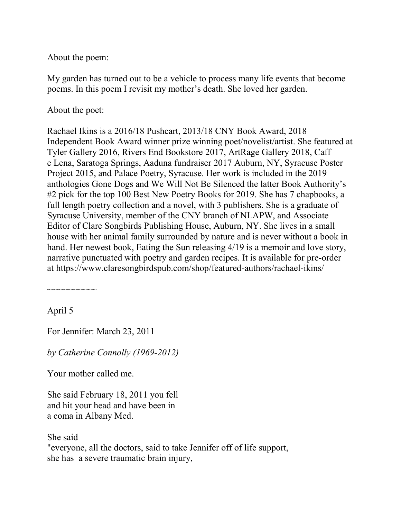About the poem:

My garden has turned out to be a vehicle to process many life events that become poems. In this poem I revisit my mother's death. She loved her garden.

About the poet:

Rachael Ikins is a 2016/18 Pushcart, 2013/18 CNY Book Award, 2018 Independent Book Award winner prize winning poet/novelist/artist. She featured at Tyler Gallery 2016, Rivers End Bookstore 2017, ArtRage Gallery 2018, Caff e Lena, Saratoga Springs, Aaduna fundraiser 2017 Auburn, NY, Syracuse Poster Project 2015, and Palace Poetry, Syracuse. Her work is included in the 2019 anthologies Gone Dogs and We Will Not Be Silenced the latter Book Authority's #2 pick for the top 100 Best New Poetry Books for 2019. She has 7 chapbooks, a full length poetry collection and a novel, with 3 publishers. She is a graduate of Syracuse University, member of the CNY branch of NLAPW, and Associate Editor of Clare Songbirds Publishing House, Auburn, NY. She lives in a small house with her animal family surrounded by nature and is never without a book in hand. Her newest book, Eating the Sun releasing 4/19 is a memoir and love story, narrative punctuated with poetry and garden recipes. It is available for pre-order at https://www.claresongbirdspub.com/shop/featured-authors/rachael-ikins/

April 5

~~~~~~~~~~

For Jennifer: March 23, 2011

*by Catherine Connolly (1969-2012)*

Your mother called me.

She said February 18, 2011 you fell and hit your head and have been in a coma in Albany Med.

She said "everyone, all the doctors, said to take Jennifer off of life support, she has a severe traumatic brain injury,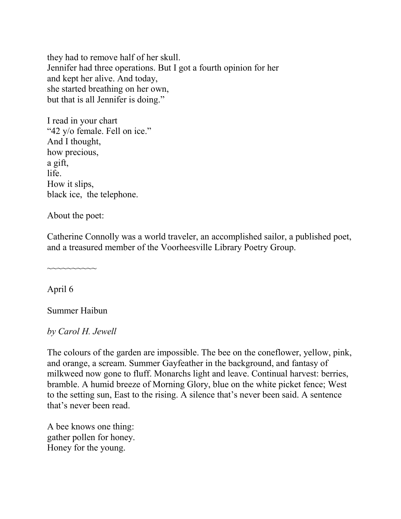they had to remove half of her skull. Jennifer had three operations. But I got a fourth opinion for her and kept her alive. And today, she started breathing on her own, but that is all Jennifer is doing."

I read in your chart "42 y/o female. Fell on ice." And I thought, how precious, a gift, life. How it slips, black ice, the telephone.

About the poet:

Catherine Connolly was a world traveler, an accomplished sailor, a published poet, and a treasured member of the Voorheesville Library Poetry Group.

April 6

Summer Haibun

~~~~~~~~~~

*by Carol H. Jewell*

The colours of the garden are impossible. The bee on the coneflower, yellow, pink, and orange, a scream. Summer Gayfeather in the background, and fantasy of milkweed now gone to fluff. Monarchs light and leave. Continual harvest: berries, bramble. A humid breeze of Morning Glory, blue on the white picket fence; West to the setting sun, East to the rising. A silence that's never been said. A sentence that's never been read.

A bee knows one thing: gather pollen for honey. Honey for the young.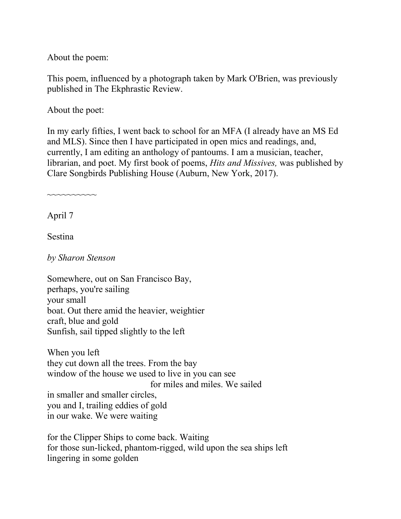About the poem:

This poem, influenced by a photograph taken by Mark O'Brien, was previously published in The Ekphrastic Review.

About the poet:

In my early fifties, I went back to school for an MFA (I already have an MS Ed and MLS). Since then I have participated in open mics and readings, and, currently, I am editing an anthology of pantoums. I am a musician, teacher, librarian, and poet. My first book of poems, *Hits and Missives,* was published by Clare Songbirds Publishing House (Auburn, New York, 2017).

~~~~~~~~~~

April 7

Sestina

*by Sharon Stenson*

Somewhere, out on San Francisco Bay, perhaps, you're sailing your small boat. Out there amid the heavier, weightier craft, blue and gold Sunfish, sail tipped slightly to the left

When you left they cut down all the trees. From the bay window of the house we used to live in you can see for miles and miles. We sailed in smaller and smaller circles, you and I, trailing eddies of gold in our wake. We were waiting

for the Clipper Ships to come back. Waiting for those sun-licked, phantom-rigged, wild upon the sea ships left lingering in some golden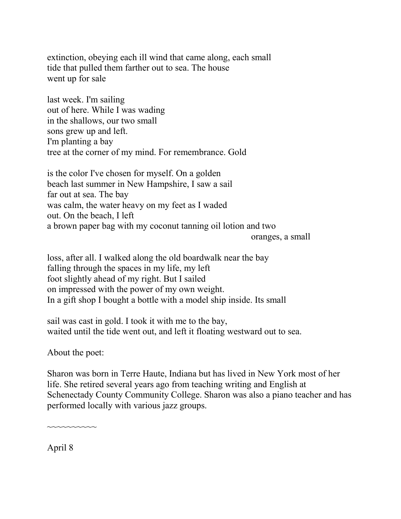extinction, obeying each ill wind that came along, each small tide that pulled them farther out to sea. The house went up for sale

last week. I'm sailing out of here. While I was wading in the shallows, our two small sons grew up and left. I'm planting a bay tree at the corner of my mind. For remembrance. Gold

is the color I've chosen for myself. On a golden beach last summer in New Hampshire, I saw a sail far out at sea. The bay was calm, the water heavy on my feet as I waded out. On the beach, I left a brown paper bag with my coconut tanning oil lotion and two

oranges, a small

loss, after all. I walked along the old boardwalk near the bay falling through the spaces in my life, my left foot slightly ahead of my right. But I sailed on impressed with the power of my own weight. In a gift shop I bought a bottle with a model ship inside. Its small

sail was cast in gold. I took it with me to the bay, waited until the tide went out, and left it floating westward out to sea.

About the poet:

Sharon was born in Terre Haute, Indiana but has lived in New York most of her life. She retired several years ago from teaching writing and English at Schenectady County Community College. Sharon was also a piano teacher and has performed locally with various jazz groups.

 $\sim\sim\sim\sim\sim\sim\sim$ 

April 8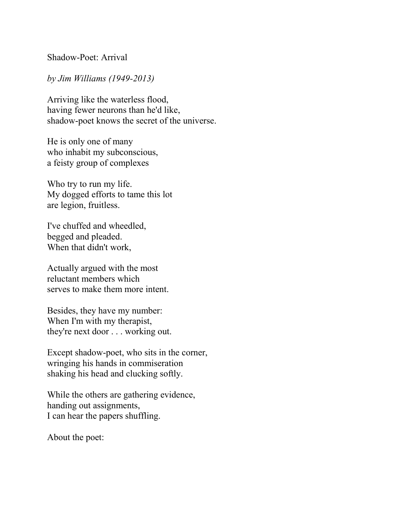Shadow-Poet: Arrival

#### *by Jim Williams (1949-2013)*

Arriving like the waterless flood, having fewer neurons than he'd like, shadow-poet knows the secret of the universe.

He is only one of many who inhabit my subconscious, a feisty group of complexes

Who try to run my life. My dogged efforts to tame this lot are legion, fruitless.

I've chuffed and wheedled, begged and pleaded. When that didn't work,

Actually argued with the most reluctant members which serves to make them more intent.

Besides, they have my number: When I'm with my therapist, they're next door . . . working out.

Except shadow-poet, who sits in the corner, wringing his hands in commiseration shaking his head and clucking softly.

While the others are gathering evidence, handing out assignments, I can hear the papers shuffling.

About the poet: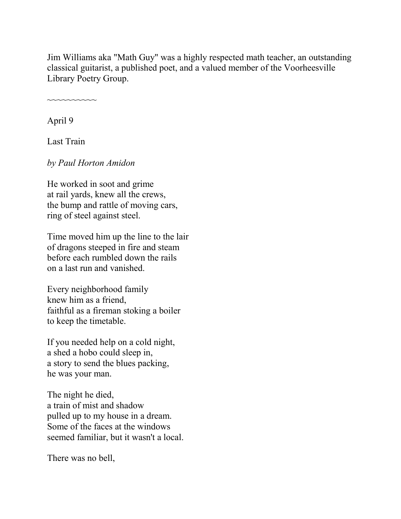Jim Williams aka "Math Guy" was a highly respected math teacher, an outstanding classical guitarist, a published poet, and a valued member of the Voorheesville Library Poetry Group.

~~~~~~~~~~

April 9

Last Train

*by Paul Horton Amidon*

He worked in soot and grime at rail yards, knew all the crews, the bump and rattle of moving cars, ring of steel against steel.

Time moved him up the line to the lair of dragons steeped in fire and steam before each rumbled down the rails on a last run and vanished.

Every neighborhood family knew him as a friend, faithful as a fireman stoking a boiler to keep the timetable.

If you needed help on a cold night, a shed a hobo could sleep in, a story to send the blues packing, he was your man.

The night he died, a train of mist and shadow pulled up to my house in a dream. Some of the faces at the windows seemed familiar, but it wasn't a local.

There was no bell,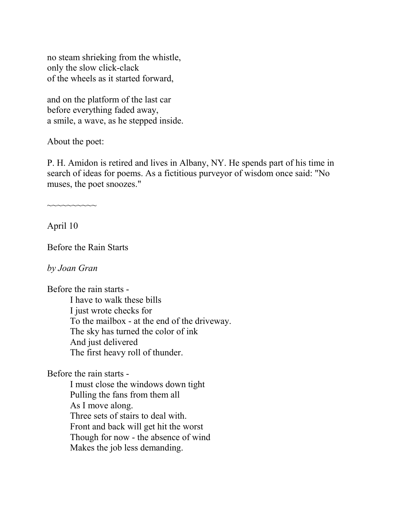no steam shrieking from the whistle, only the slow click-clack of the wheels as it started forward,

and on the platform of the last car before everything faded away, a smile, a wave, as he stepped inside.

About the poet:

P. H. Amidon is retired and lives in Albany, NY. He spends part of his time in search of ideas for poems. As a fictitious purveyor of wisdom once said: "No muses, the poet snoozes."

 $\sim\sim\sim\sim\sim\sim\sim$ 

April 10

Before the Rain Starts

*by Joan Gran*

Before the rain starts -

I have to walk these bills I just wrote checks for To the mailbox - at the end of the driveway. The sky has turned the color of ink And just delivered The first heavy roll of thunder.

Before the rain starts -

I must close the windows down tight Pulling the fans from them all As I move along. Three sets of stairs to deal with. Front and back will get hit the worst Though for now - the absence of wind Makes the job less demanding.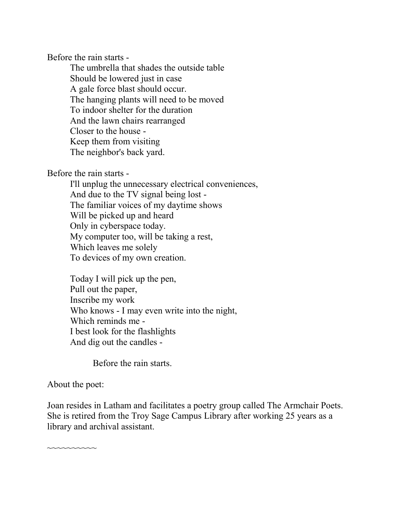Before the rain starts -

The umbrella that shades the outside table Should be lowered just in case A gale force blast should occur. The hanging plants will need to be moved To indoor shelter for the duration And the lawn chairs rearranged Closer to the house - Keep them from visiting The neighbor's back yard.

Before the rain starts -

I'll unplug the unnecessary electrical conveniences, And due to the TV signal being lost - The familiar voices of my daytime shows Will be picked up and heard Only in cyberspace today. My computer too, will be taking a rest, Which leaves me solely To devices of my own creation.

Today I will pick up the pen, Pull out the paper, Inscribe my work Who knows - I may even write into the night, Which reminds me - I best look for the flashlights And dig out the candles -

Before the rain starts.

#### About the poet:

Joan resides in Latham and facilitates a poetry group called The Armchair Poets. She is retired from the Troy Sage Campus Library after working 25 years as a library and archival assistant.

~~~~~~~~~~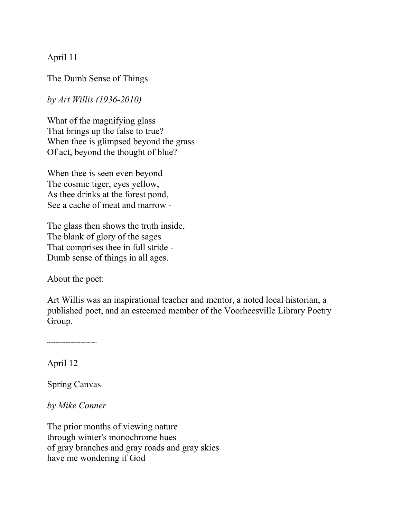April 11

The Dumb Sense of Things

*by Art Willis (1936-2010)*

What of the magnifying glass That brings up the false to true? When thee is glimpsed beyond the grass Of act, beyond the thought of blue?

When thee is seen even beyond The cosmic tiger, eyes yellow, As thee drinks at the forest pond, See a cache of meat and marrow -

The glass then shows the truth inside, The blank of glory of the sages That comprises thee in full stride - Dumb sense of things in all ages.

About the poet:

Art Willis was an inspirational teacher and mentor, a noted local historian, a published poet, and an esteemed member of the Voorheesville Library Poetry Group.

April 12

Spring Canvas

~~~~~~~~~~

*by Mike Conner*

The prior months of viewing nature through winter's monochrome hues of gray branches and gray roads and gray skies have me wondering if God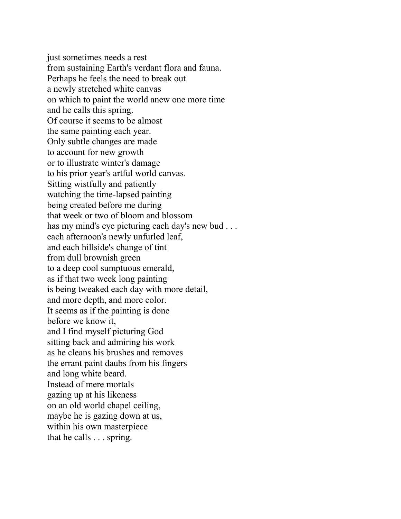just sometimes needs a rest from sustaining Earth's verdant flora and fauna. Perhaps he feels the need to break out a newly stretched white canvas on which to paint the world anew one more time and he calls this spring. Of course it seems to be almost the same painting each year. Only subtle changes are made to account for new growth or to illustrate winter's damage to his prior year's artful world canvas. Sitting wistfully and patiently watching the time-lapsed painting being created before me during that week or two of bloom and blossom has my mind's eye picturing each day's new bud . . . each afternoon's newly unfurled leaf, and each hillside's change of tint from dull brownish green to a deep cool sumptuous emerald, as if that two week long painting is being tweaked each day with more detail, and more depth, and more color. It seems as if the painting is done before we know it, and I find myself picturing God sitting back and admiring his work as he cleans his brushes and removes the errant paint daubs from his fingers and long white beard. Instead of mere mortals gazing up at his likeness on an old world chapel ceiling, maybe he is gazing down at us, within his own masterpiece that he calls . . . spring.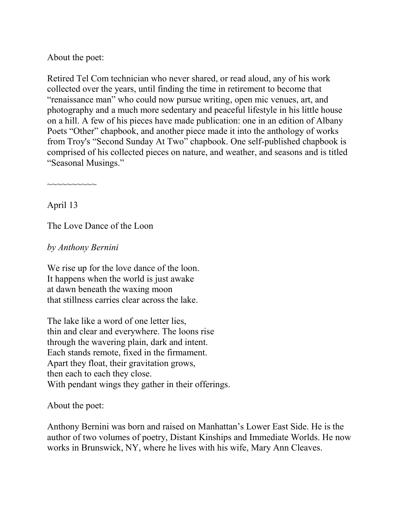About the poet:

Retired Tel Com technician who never shared, or read aloud, any of his work collected over the years, until finding the time in retirement to become that "renaissance man" who could now pursue writing, open mic venues, art, and photography and a much more sedentary and peaceful lifestyle in his little house on a hill. A few of his pieces have made publication: one in an edition of Albany Poets "Other" chapbook, and another piece made it into the anthology of works from Troy's "Second Sunday At Two" chapbook. One self-published chapbook is comprised of his collected pieces on nature, and weather, and seasons and is titled "Seasonal Musings."

~~~~~~~~~~

April 13

The Love Dance of the Loon

*by Anthony Bernini*

We rise up for the love dance of the loon. It happens when the world is just awake at dawn beneath the waxing moon that stillness carries clear across the lake.

The lake like a word of one letter lies, thin and clear and everywhere. The loons rise through the wavering plain, dark and intent. Each stands remote, fixed in the firmament. Apart they float, their gravitation grows, then each to each they close. With pendant wings they gather in their offerings.

About the poet:

Anthony Bernini was born and raised on Manhattan's Lower East Side. He is the author of two volumes of poetry, Distant Kinships and Immediate Worlds. He now works in Brunswick, NY, where he lives with his wife, Mary Ann Cleaves.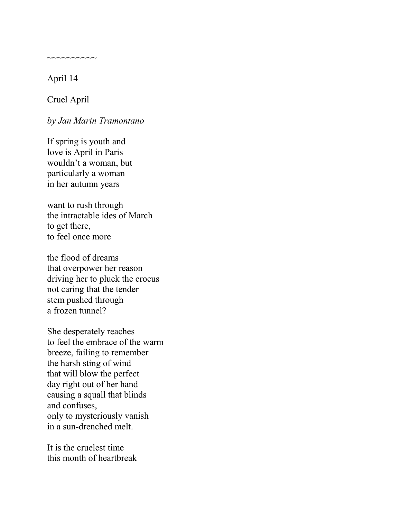April 14

Cruel April

~~~~~~~~~~

*by Jan Marin Tramontano*

If spring is youth and love is April in Paris wouldn't a woman, but particularly a woman in her autumn years

want to rush through the intractable ides of March to get there, to feel once more

the flood of dreams that overpower her reason driving her to pluck the crocus not caring that the tender stem pushed through a frozen tunnel?

She desperately reaches to feel the embrace of the warm breeze, failing to remember the harsh sting of wind that will blow the perfect day right out of her hand causing a squall that blinds and confuses, only to mysteriously vanish in a sun-drenched melt.

It is the cruelest time this month of heartbreak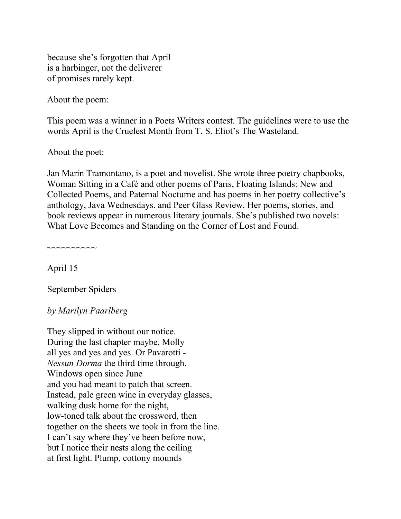because she's forgotten that April is a harbinger, not the deliverer of promises rarely kept.

About the poem:

This poem was a winner in a Poets Writers contest. The guidelines were to use the words April is the Cruelest Month from T. S. Eliot's The Wasteland.

About the poet:

Jan Marin Tramontano, is a poet and novelist. She wrote three poetry chapbooks, Woman Sitting in a Café and other poems of Paris, Floating Islands: New and Collected Poems, and Paternal Nocturne and has poems in her poetry collective's anthology, Java Wednesdays. and Peer Glass Review. Her poems, stories, and book reviews appear in numerous literary journals. She's published two novels: What Love Becomes and Standing on the Corner of Lost and Found.

April 15

~~~~~~~~~~

September Spiders

*by Marilyn Paarlberg*

They slipped in without our notice. During the last chapter maybe, Molly all yes and yes and yes. Or Pavarotti - *Nessun Dorma* the third time through. Windows open since June and you had meant to patch that screen. Instead, pale green wine in everyday glasses, walking dusk home for the night, low-toned talk about the crossword, then together on the sheets we took in from the line. I can't say where they've been before now, but I notice their nests along the ceiling at first light. Plump, cottony mounds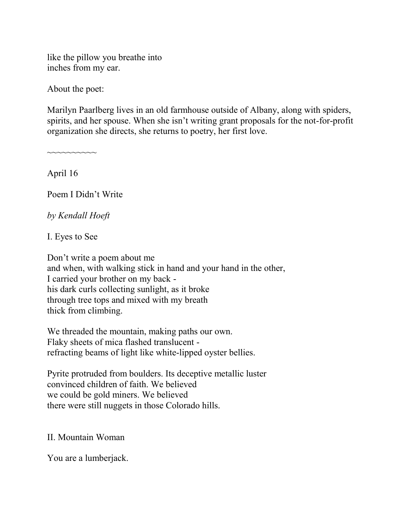like the pillow you breathe into inches from my ear.

About the poet:

Marilyn Paarlberg lives in an old farmhouse outside of Albany, along with spiders, spirits, and her spouse. When she isn't writing grant proposals for the not-for-profit organization she directs, she returns to poetry, her first love.

April 16

~~~~~~~~~~

Poem I Didn't Write

*by Kendall Hoeft*

I. Eyes to See

Don't write a poem about me and when, with walking stick in hand and your hand in the other, I carried your brother on my back his dark curls collecting sunlight, as it broke through tree tops and mixed with my breath thick from climbing.

We threaded the mountain, making paths our own. Flaky sheets of mica flashed translucent refracting beams of light like white-lipped oyster bellies.

Pyrite protruded from boulders. Its deceptive metallic luster convinced children of faith. We believed we could be gold miners. We believed there were still nuggets in those Colorado hills.

#### II. Mountain Woman

You are a lumberjack.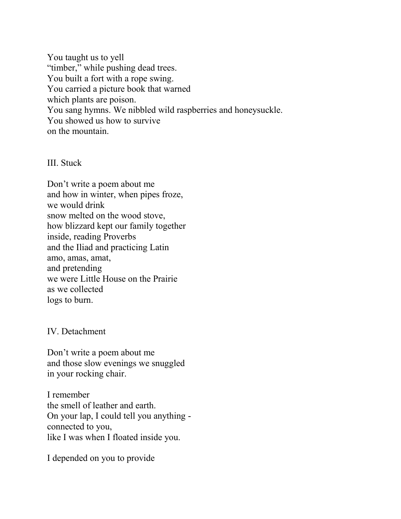You taught us to yell "timber," while pushing dead trees. You built a fort with a rope swing. You carried a picture book that warned which plants are poison. You sang hymns. We nibbled wild raspberries and honeysuckle. You showed us how to survive on the mountain.

III. Stuck

Don't write a poem about me and how in winter, when pipes froze, we would drink snow melted on the wood stove, how blizzard kept our family together inside, reading Proverbs and the Iliad and practicing Latin amo, amas, amat, and pretending we were Little House on the Prairie as we collected logs to burn.

IV. Detachment

Don't write a poem about me and those slow evenings we snuggled in your rocking chair.

I remember the smell of leather and earth. On your lap, I could tell you anything connected to you, like I was when I floated inside you.

I depended on you to provide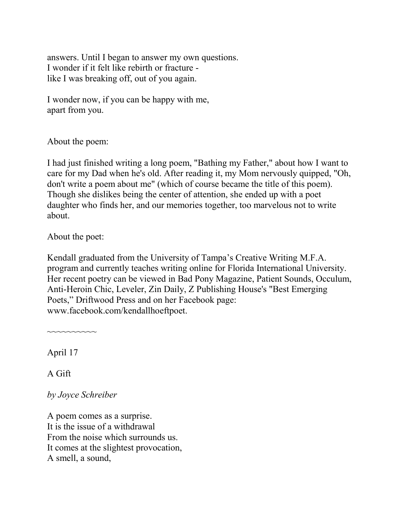answers. Until I began to answer my own questions. I wonder if it felt like rebirth or fracture like I was breaking off, out of you again.

I wonder now, if you can be happy with me, apart from you.

About the poem:

I had just finished writing a long poem, "Bathing my Father," about how I want to care for my Dad when he's old. After reading it, my Mom nervously quipped, "Oh, don't write a poem about me" (which of course became the title of this poem). Though she dislikes being the center of attention, she ended up with a poet daughter who finds her, and our memories together, too marvelous not to write about.

About the poet:

Kendall graduated from the University of Tampa's Creative Writing M.F.A. program and currently teaches writing online for Florida International University. Her recent poetry can be viewed in Bad Pony Magazine, Patient Sounds, Occulum, Anti-Heroin Chic, Leveler, Zin Daily, Z Publishing House's "Best Emerging Poets," Driftwood Press and on her Facebook page: www.facebook.com/kendallhoeftpoet.

April 17

~~~~~~~~~~

A Gift

*by Joyce Schreiber*

A poem comes as a surprise. It is the issue of a withdrawal From the noise which surrounds us. It comes at the slightest provocation, A smell, a sound,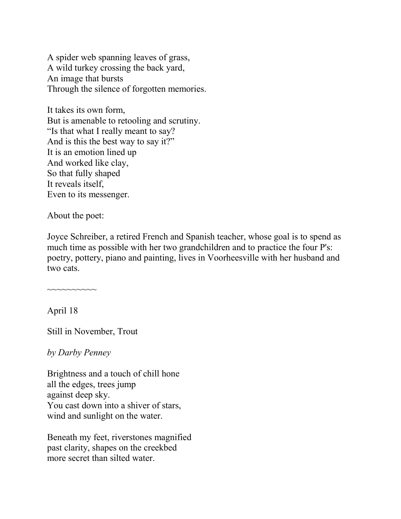A spider web spanning leaves of grass, A wild turkey crossing the back yard, An image that bursts Through the silence of forgotten memories.

It takes its own form, But is amenable to retooling and scrutiny. "Is that what I really meant to say? And is this the best way to say it?" It is an emotion lined up And worked like clay, So that fully shaped It reveals itself, Even to its messenger.

About the poet:

~~~~~~~~~~

Joyce Schreiber, a retired French and Spanish teacher, whose goal is to spend as much time as possible with her two grandchildren and to practice the four P's: poetry, pottery, piano and painting, lives in Voorheesville with her husband and two cats.

April 18

Still in November, Trout

*by Darby Penney*

Brightness and a touch of chill hone all the edges, trees jump against deep sky. You cast down into a shiver of stars, wind and sunlight on the water.

Beneath my feet, riverstones magnified past clarity, shapes on the creekbed more secret than silted water.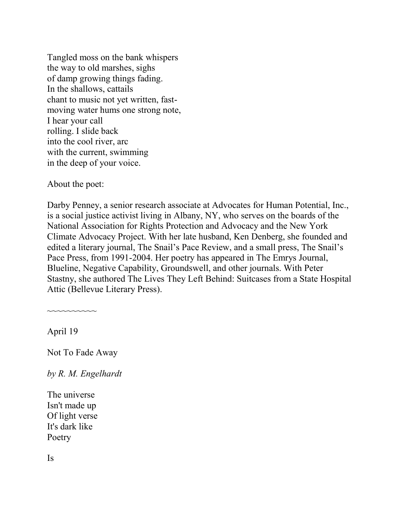Tangled moss on the bank whispers the way to old marshes, sighs of damp growing things fading. In the shallows, cattails chant to music not yet written, fastmoving water hums one strong note, I hear your call rolling. I slide back into the cool river, arc with the current, swimming in the deep of your voice.

About the poet:

Darby Penney, a senior research associate at Advocates for Human Potential, Inc., is a social justice activist living in Albany, NY, who serves on the boards of the National Association for Rights Protection and Advocacy and the New York Climate Advocacy Project. With her late husband, Ken Denberg, she founded and edited a literary journal, The Snail's Pace Review, and a small press, The Snail's Pace Press, from 1991-2004. Her poetry has appeared in The Emrys Journal, Blueline, Negative Capability, Groundswell, and other journals. With Peter Stastny, she authored The Lives They Left Behind: Suitcases from a State Hospital Attic (Bellevue Literary Press).

April 19

~~~~~~~~~~

Not To Fade Away

*by R. M. Engelhardt*

The universe Isn't made up Of light verse It's dark like Poetry

Is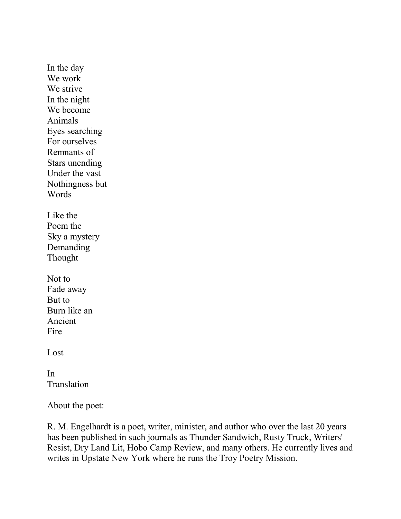In the day We work We strive In the night We become Animals Eyes searching For ourselves Remnants of Stars unending Under the vast Nothingness but Words Like the Poem the Sky a mystery Demanding Thought Not to Fade away But to Burn like an Ancient Fire Lost

In Translation

About the poet:

R. M. Engelhardt is a poet, writer, minister, and author who over the last 20 years has been published in such journals as Thunder Sandwich, Rusty Truck, Writers' Resist, Dry Land Lit, Hobo Camp Review, and many others. He currently lives and writes in Upstate New York where he runs the Troy Poetry Mission.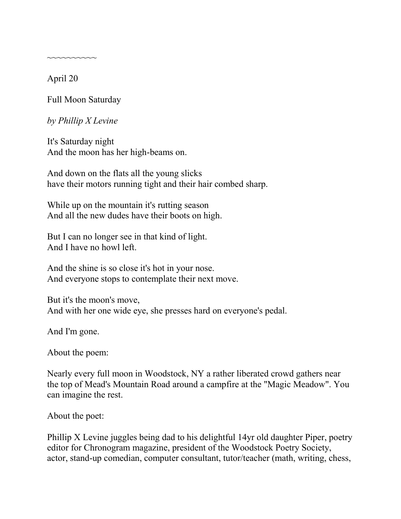April 20

~~~~~~~~~~

Full Moon Saturday

*by Phillip X Levine*

It's Saturday night And the moon has her high-beams on.

And down on the flats all the young slicks have their motors running tight and their hair combed sharp.

While up on the mountain it's rutting season And all the new dudes have their boots on high.

But I can no longer see in that kind of light. And I have no howl left.

And the shine is so close it's hot in your nose. And everyone stops to contemplate their next move.

But it's the moon's move, And with her one wide eye, she presses hard on everyone's pedal.

And I'm gone.

About the poem:

Nearly every full moon in Woodstock, NY a rather liberated crowd gathers near the top of Mead's Mountain Road around a campfire at the "Magic Meadow". You can imagine the rest.

About the poet:

Phillip X Levine juggles being dad to his delightful 14yr old daughter Piper, poetry editor for Chronogram magazine, president of the Woodstock Poetry Society, actor, stand-up comedian, computer consultant, tutor/teacher (math, writing, chess,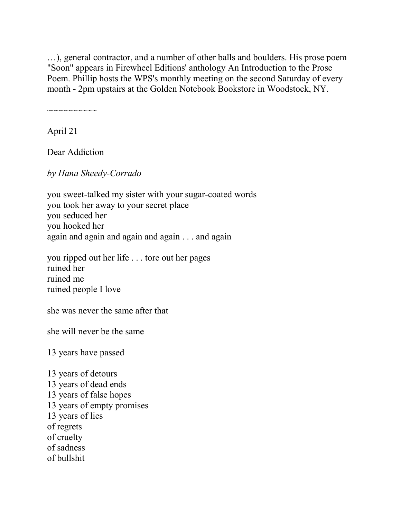…), general contractor, and a number of other balls and boulders. His prose poem "Soon" appears in Firewheel Editions' anthology An Introduction to the Prose Poem. Phillip hosts the WPS's monthly meeting on the second Saturday of every month - 2pm upstairs at the Golden Notebook Bookstore in Woodstock, NY.

~~~~~~~~~~

April 21

Dear Addiction

*by Hana Sheedy-Corrado*

you sweet-talked my sister with your sugar-coated words you took her away to your secret place you seduced her you hooked her again and again and again and again . . . and again

you ripped out her life . . . tore out her pages ruined her ruined me ruined people I love

she was never the same after that

she will never be the same

13 years have passed

13 years of detours 13 years of dead ends 13 years of false hopes 13 years of empty promises 13 years of lies of regrets of cruelty of sadness of bullshit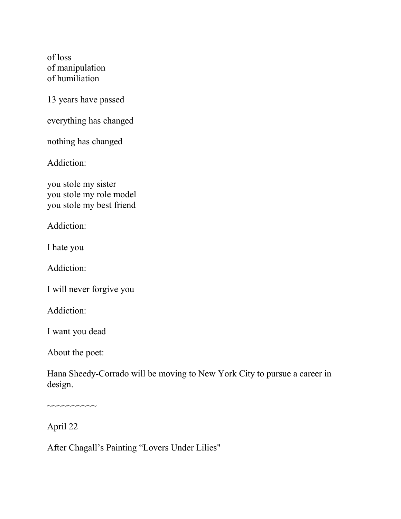of loss of manipulation of humiliation

13 years have passed

everything has changed

nothing has changed

Addiction:

you stole my sister you stole my role model you stole my best friend

Addiction:

I hate you

Addiction:

I will never forgive you

Addiction:

I want you dead

About the poet:

Hana Sheedy-Corrado will be moving to New York City to pursue a career in design.

April 22

 $\sim$ ~~~~~~~~

After Chagall's Painting "Lovers Under Lilies"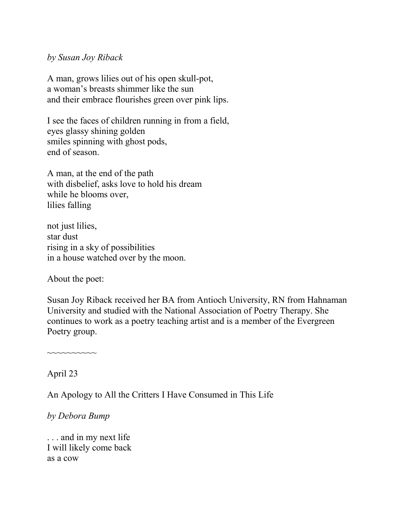#### *by Susan Joy Riback*

A man, grows lilies out of his open skull-pot, a woman's breasts shimmer like the sun and their embrace flourishes green over pink lips.

I see the faces of children running in from a field, eyes glassy shining golden smiles spinning with ghost pods, end of season.

A man, at the end of the path with disbelief, asks love to hold his dream while he blooms over, lilies falling

not just lilies, star dust rising in a sky of possibilities in a house watched over by the moon.

About the poet:

Susan Joy Riback received her BA from Antioch University, RN from Hahnaman University and studied with the National Association of Poetry Therapy. She continues to work as a poetry teaching artist and is a member of the Evergreen Poetry group.

April 23

~~~~~~~~~~

An Apology to All the Critters I Have Consumed in This Life

#### *by Debora Bump*

. . . and in my next life I will likely come back as a cow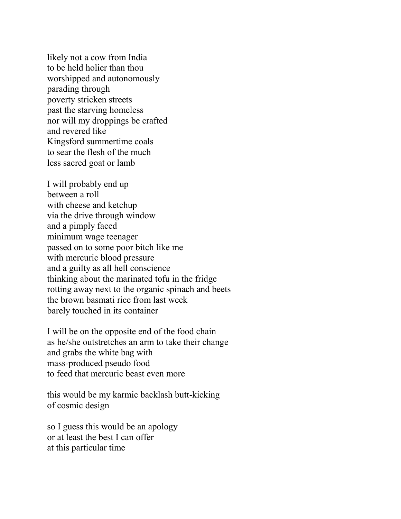likely not a cow from India to be held holier than thou worshipped and autonomously parading through poverty stricken streets past the starving homeless nor will my droppings be crafted and revered like Kingsford summertime coals to sear the flesh of the much less sacred goat or lamb

I will probably end up between a roll with cheese and ketchup via the drive through window and a pimply faced minimum wage teenager passed on to some poor bitch like me with mercuric blood pressure and a guilty as all hell conscience thinking about the marinated tofu in the fridge rotting away next to the organic spinach and beets the brown basmati rice from last week barely touched in its container

I will be on the opposite end of the food chain as he/she outstretches an arm to take their change and grabs the white bag with mass-produced pseudo food to feed that mercuric beast even more

this would be my karmic backlash butt-kicking of cosmic design

so I guess this would be an apology or at least the best I can offer at this particular time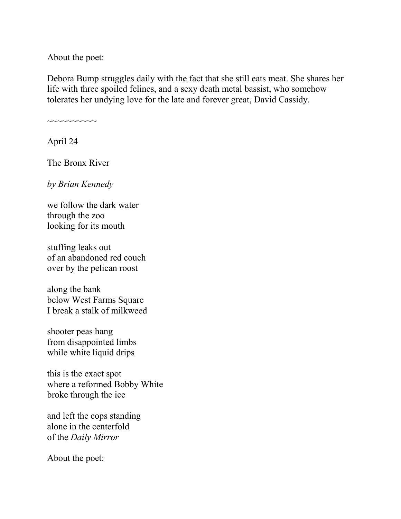About the poet:

Debora Bump struggles daily with the fact that she still eats meat. She shares her life with three spoiled felines, and a sexy death metal bassist, who somehow tolerates her undying love for the late and forever great, David Cassidy.

April 24

The Bronx River

~~~~~~~~~~

*by Brian Kennedy*

we follow the dark water through the zoo looking for its mouth

stuffing leaks out of an abandoned red couch over by the pelican roost

along the bank below West Farms Square I break a stalk of milkweed

shooter peas hang from disappointed limbs while white liquid drips

this is the exact spot where a reformed Bobby White broke through the ice

and left the cops standing alone in the centerfold of the *Daily Mirror*

About the poet: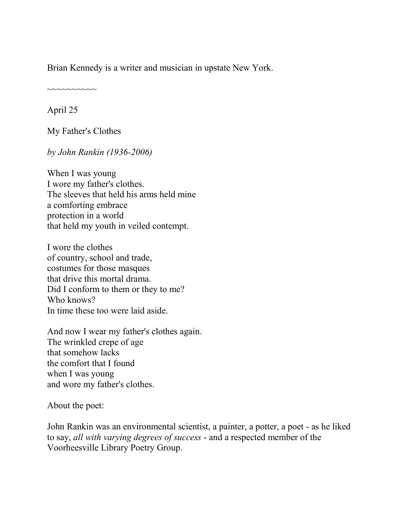Brian Kennedy is a writer and musician in upstate New York.

~~~~~~~~~~

April 25

My Father's Clothes

*by John Rankin (1936-2006)*

When I was young I wore my father's clothes. The sleeves that held his arms held mine a comforting embrace protection in a world that held my youth in veiled contempt.

I wore the clothes of country, school and trade, costumes for those masques that drive this mortal drama. Did I conform to them or they to me? Who knows? In time these too were laid aside.

And now I wear my father's clothes again. The wrinkled crepe of age that somehow lacks the comfort that I found when I was young and wore my father's clothes.

About the poet:

John Rankin was an environmental scientist, a painter, a potter, a poet - as he liked to say, *all with varying degrees of success* - and a respected member of the Voorheesville Library Poetry Group.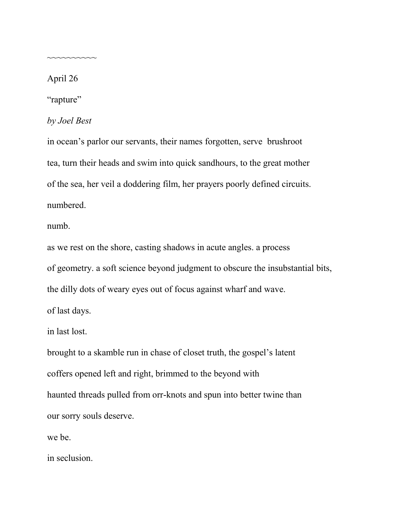April 26

~~~~~~~~~~

"rapture"

*by Joel Best*

in ocean's parlor our servants, their names forgotten, serve brushroot tea, turn their heads and swim into quick sandhours, to the great mother of the sea, her veil a doddering film, her prayers poorly defined circuits. numbered.

numb.

as we rest on the shore, casting shadows in acute angles. a process of geometry. a soft science beyond judgment to obscure the insubstantial bits, the dilly dots of weary eyes out of focus against wharf and wave. of last days.

in last lost.

brought to a skamble run in chase of closet truth, the gospel's latent coffers opened left and right, brimmed to the beyond with haunted threads pulled from orr-knots and spun into better twine than our sorry souls deserve.

we be.

in seclusion.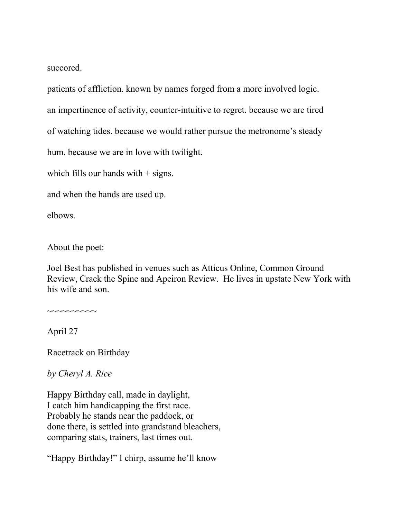succored.

patients of affliction. known by names forged from a more involved logic.

an impertinence of activity, counter-intuitive to regret. because we are tired

of watching tides. because we would rather pursue the metronome's steady

hum. because we are in love with twilight.

which fills our hands with  $+$  signs.

and when the hands are used up.

elbows.

About the poet:

Joel Best has published in venues such as Atticus Online, Common Ground Review, Crack the Spine and Apeiron Review. He lives in upstate New York with his wife and son.

April 27

~~~~~~~~~~

Racetrack on Birthday

*by Cheryl A. Rice*

Happy Birthday call, made in daylight, I catch him handicapping the first race. Probably he stands near the paddock, or done there, is settled into grandstand bleachers, comparing stats, trainers, last times out.

"Happy Birthday!" I chirp, assume he'll know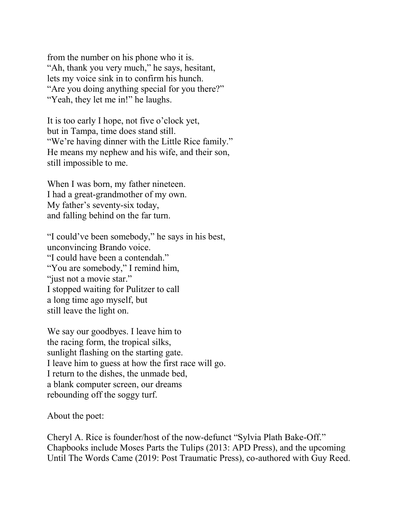from the number on his phone who it is. "Ah, thank you very much," he says, hesitant, lets my voice sink in to confirm his hunch. "Are you doing anything special for you there?" "Yeah, they let me in!" he laughs.

It is too early I hope, not five o'clock yet, but in Tampa, time does stand still. "We're having dinner with the Little Rice family." He means my nephew and his wife, and their son, still impossible to me.

When I was born, my father nineteen. I had a great-grandmother of my own. My father's seventy-six today, and falling behind on the far turn.

"I could've been somebody," he says in his best, unconvincing Brando voice. "I could have been a contendah." "You are somebody," I remind him, "just not a movie star." I stopped waiting for Pulitzer to call a long time ago myself, but still leave the light on.

We say our goodbyes. I leave him to the racing form, the tropical silks, sunlight flashing on the starting gate. I leave him to guess at how the first race will go. I return to the dishes, the unmade bed, a blank computer screen, our dreams rebounding off the soggy turf.

About the poet:

Cheryl A. Rice is founder/host of the now-defunct "Sylvia Plath Bake-Off." Chapbooks include Moses Parts the Tulips (2013: APD Press), and the upcoming Until The Words Came (2019: Post Traumatic Press), co-authored with Guy Reed.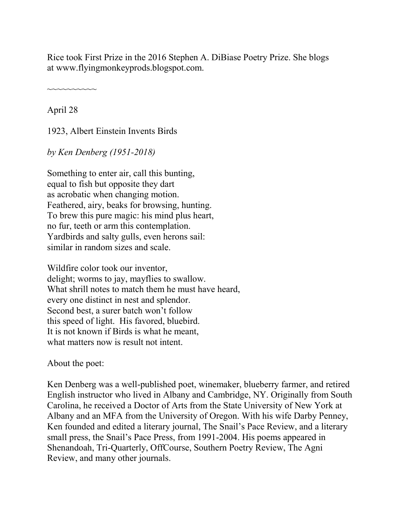Rice took First Prize in the 2016 Stephen A. DiBiase Poetry Prize. She blogs at www.flyingmonkeyprods.blogspot.com.

~~~~~~~~~~

April 28

1923, Albert Einstein Invents Birds

*by Ken Denberg (1951-2018)*

Something to enter air, call this bunting, equal to fish but opposite they dart as acrobatic when changing motion. Feathered, airy, beaks for browsing, hunting. To brew this pure magic: his mind plus heart, no fur, teeth or arm this contemplation. Yardbirds and salty gulls, even herons sail: similar in random sizes and scale.

Wildfire color took our inventor, delight; worms to jay, mayflies to swallow. What shrill notes to match them he must have heard, every one distinct in nest and splendor. Second best, a surer batch won't follow this speed of light. His favored, bluebird. It is not known if Birds is what he meant, what matters now is result not intent.

About the poet:

Ken Denberg was a well-published poet, winemaker, blueberry farmer, and retired English instructor who lived in Albany and Cambridge, NY. Originally from South Carolina, he received a Doctor of Arts from the State University of New York at Albany and an MFA from the University of Oregon. With his wife Darby Penney, Ken founded and edited a literary journal, The Snail's Pace Review, and a literary small press, the Snail's Pace Press, from 1991-2004. His poems appeared in Shenandoah, Tri-Quarterly, OffCourse, Southern Poetry Review, The Agni Review, and many other journals.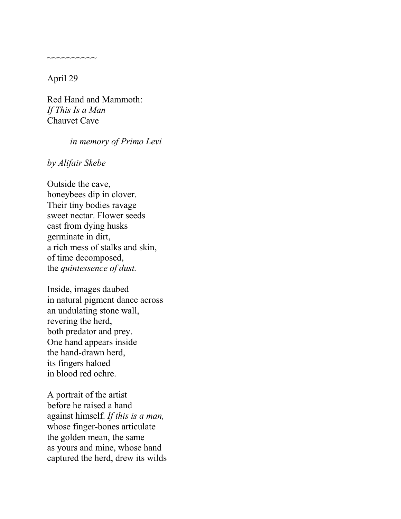April 29

~~~~~~~~~~

Red Hand and Mammoth: *If This Is a Man* Chauvet Cave

#### *in memory of Primo Levi*

*by Alifair Skebe*

Outside the cave, honeybees dip in clover. Their tiny bodies ravage sweet nectar. Flower seeds cast from dying husks germinate in dirt, a rich mess of stalks and skin, of time decomposed, the *quintessence of dust.*

Inside, images daubed in natural pigment dance across an undulating stone wall, revering the herd, both predator and prey. One hand appears inside the hand-drawn herd, its fingers haloed in blood red ochre.

A portrait of the artist before he raised a hand against himself. *If this is a man,* whose finger-bones articulate the golden mean, the same as yours and mine, whose hand captured the herd, drew its wilds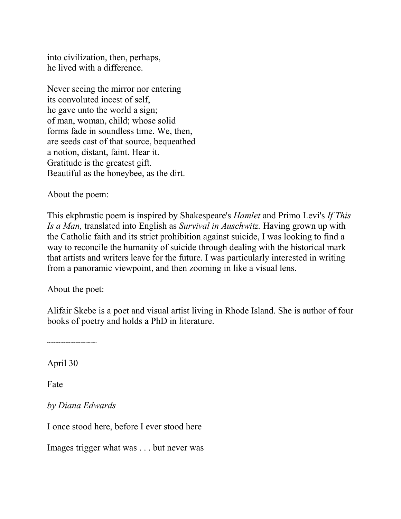into civilization, then, perhaps, he lived with a difference.

Never seeing the mirror nor entering its convoluted incest of self, he gave unto the world a sign; of man, woman, child; whose solid forms fade in soundless time. We, then, are seeds cast of that source, bequeathed a notion, distant, faint. Hear it. Gratitude is the greatest gift. Beautiful as the honeybee, as the dirt.

About the poem:

This ekphrastic poem is inspired by Shakespeare's *Hamlet* and Primo Levi's *If This Is a Man,* translated into English as *Survival in Auschwitz.* Having grown up with the Catholic faith and its strict prohibition against suicide, I was looking to find a way to reconcile the humanity of suicide through dealing with the historical mark that artists and writers leave for the future. I was particularly interested in writing from a panoramic viewpoint, and then zooming in like a visual lens.

About the poet:

~~~~~~~~~~

Alifair Skebe is a poet and visual artist living in Rhode Island. She is author of four books of poetry and holds a PhD in literature.

April 30

Fate

*by Diana Edwards*

I once stood here, before I ever stood here

Images trigger what was . . . but never was